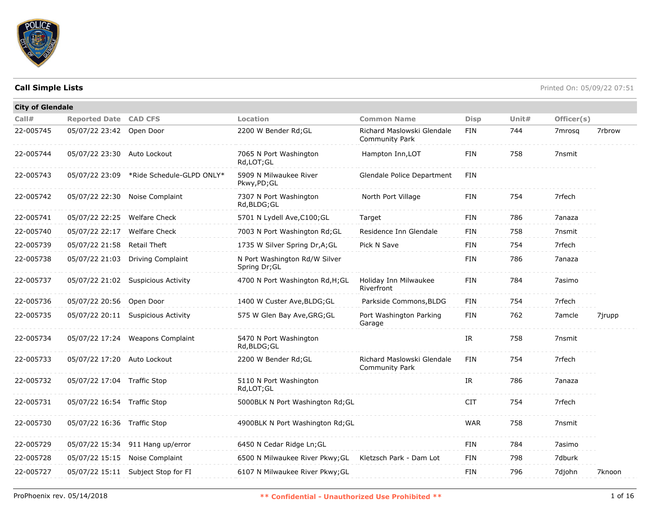

| <b>City of Glendale</b> |                              |                                          |                                                |                                                     |             |          |            |        |
|-------------------------|------------------------------|------------------------------------------|------------------------------------------------|-----------------------------------------------------|-------------|----------|------------|--------|
| Call#                   | <b>Reported Date CAD CFS</b> |                                          | Location                                       | <b>Common Name</b>                                  | <b>Disp</b> | Unit $#$ | Officer(s) |        |
| 22-005745               | 05/07/22 23:42 Open Door     |                                          | 2200 W Bender Rd; GL                           | Richard Maslowski Glendale<br><b>Community Park</b> | <b>FIN</b>  | 744      | 7mrosg     | 7rbrow |
| 22-005744               | 05/07/22 23:30 Auto Lockout  |                                          | 7065 N Port Washington<br>Rd, LOT; GL          | Hampton Inn, LOT                                    | FIN         | 758      | 7nsmit     |        |
| 22-005743               |                              | 05/07/22 23:09 *Ride Schedule-GLPD ONLY* | 5909 N Milwaukee River<br>Pkwy,PD;GL           | Glendale Police Department                          | <b>FIN</b>  |          |            |        |
| 22-005742               |                              | 05/07/22 22:30 Noise Complaint           | 7307 N Port Washington<br>Rd, BLDG; GL         | North Port Village                                  | FIN         | 754      | 7rfech     |        |
| 22-005741               | 05/07/22 22:25 Welfare Check |                                          | 5701 N Lydell Ave, C100; GL                    | Target                                              | FIN         | 786      | 7anaza     |        |
| 22-005740               | 05/07/22 22:17               | <b>Welfare Check</b>                     | 7003 N Port Washington Rd; GL                  | Residence Inn Glendale                              | <b>FIN</b>  | 758      | 7nsmit     |        |
| 22-005739               | 05/07/22 21:58               | <b>Retail Theft</b>                      | 1735 W Silver Spring Dr, A; GL                 | Pick N Save                                         | FIN         | 754      | 7rfech     |        |
| 22-005738               | 05/07/22 21:03               | <b>Driving Complaint</b>                 | N Port Washington Rd/W Silver<br>Spring Dr; GL |                                                     | FIN         | 786      | 7anaza     |        |
| 22-005737               |                              | 05/07/22 21:02 Suspicious Activity       | 4700 N Port Washington Rd, H; GL               | Holiday Inn Milwaukee<br>Riverfront                 | <b>FIN</b>  | 784      | 7asimo     |        |
| 22-005736               | 05/07/22 20:56 Open Door     |                                          | 1400 W Custer Ave, BLDG; GL                    | Parkside Commons, BLDG                              | FIN         | 754      | 7rfech     |        |
| 22-005735               |                              | 05/07/22 20:11 Suspicious Activity       | 575 W Glen Bay Ave, GRG; GL                    | Port Washington Parking<br>Garage                   | <b>FIN</b>  | 762      | 7amcle     | 7jrupp |
| 22-005734               |                              | 05/07/22 17:24 Weapons Complaint         | 5470 N Port Washington<br>Rd, BLDG; GL         |                                                     | IR          | 758      | 7nsmit     |        |
| 22-005733               | 05/07/22 17:20 Auto Lockout  |                                          | 2200 W Bender Rd; GL                           | Richard Maslowski Glendale<br><b>Community Park</b> | FIN         | 754      | 7rfech     |        |
| 22-005732               | 05/07/22 17:04 Traffic Stop  |                                          | 5110 N Port Washington<br>Rd,LOT;GL            |                                                     | IR          | 786      | 7anaza     |        |
| 22-005731               | 05/07/22 16:54 Traffic Stop  |                                          | 5000BLK N Port Washington Rd; GL               |                                                     | <b>CIT</b>  | 754      | 7rfech     |        |
| 22-005730               | 05/07/22 16:36 Traffic Stop  |                                          | 4900BLK N Port Washington Rd; GL               |                                                     | <b>WAR</b>  | 758      | 7nsmit     |        |
| 22-005729               |                              | 05/07/22 15:34 911 Hang up/error         | 6450 N Cedar Ridge Ln; GL                      |                                                     | <b>FIN</b>  | 784      | 7asimo     |        |
| 22-005728               | 05/07/22 15:15               | Noise Complaint                          | 6500 N Milwaukee River Pkwy; GL                | Kletzsch Park - Dam Lot                             | FIN         | 798      | 7dburk     |        |
| 22-005727               |                              | 05/07/22 15:11 Subject Stop for FI       | 6107 N Milwaukee River Pkwy; GL                |                                                     | <b>FIN</b>  | 796      | 7djohn     | 7knoon |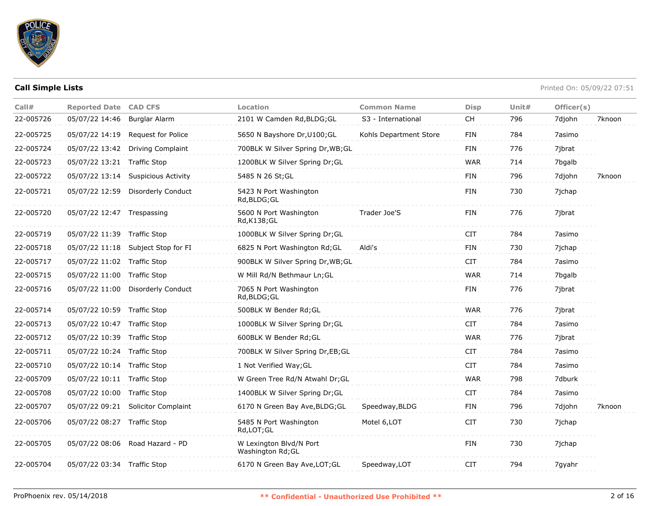

| Call#     | <b>Reported Date CAD CFS</b> |                                    | Location                                     | <b>Common Name</b>     | <b>Disp</b> | Unit $#$ | Officer(s) |        |
|-----------|------------------------------|------------------------------------|----------------------------------------------|------------------------|-------------|----------|------------|--------|
| 22-005726 | 05/07/22 14:46               | Burglar Alarm                      | 2101 W Camden Rd, BLDG; GL                   | S3 - International     | <b>CH</b>   | 796      | 7djohn     | 7knoon |
| 22-005725 | 05/07/22 14:19               | Request for Police                 | 5650 N Bayshore Dr, U100; GL                 | Kohls Department Store | <b>FIN</b>  | 784      | 7asimo     |        |
| 22-005724 | 05/07/22 13:42               | <b>Driving Complaint</b>           | 700BLK W Silver Spring Dr, WB; GL            |                        | <b>FIN</b>  | 776      | 7ibrat     |        |
| 22-005723 | 05/07/22 13:21 Traffic Stop  |                                    | 1200BLK W Silver Spring Dr;GL                |                        | <b>WAR</b>  | 714      | 7bgalb     |        |
| 22-005722 |                              | 05/07/22 13:14 Suspicious Activity | 5485 N 26 St; GL                             |                        | <b>FIN</b>  | 796      | 7djohn     | 7knoon |
| 22-005721 | 05/07/22 12:59               | Disorderly Conduct                 | 5423 N Port Washington<br>Rd, BLDG; GL       |                        | <b>FIN</b>  | 730      | 7jchap     |        |
| 22-005720 | 05/07/22 12:47 Trespassing   |                                    | 5600 N Port Washington<br>Rd, K138; GL       | Trader Joe'S           | <b>FIN</b>  | 776      | 7jbrat     |        |
| 22-005719 | 05/07/22 11:39 Traffic Stop  |                                    | 1000BLK W Silver Spring Dr; GL               |                        | <b>CIT</b>  | 784      | 7asimo     |        |
| 22-005718 |                              | 05/07/22 11:18 Subject Stop for FI | 6825 N Port Washington Rd; GL                | Aldi's                 | <b>FIN</b>  | 730      | 7jchap     |        |
| 22-005717 | 05/07/22 11:02 Traffic Stop  |                                    | 900BLK W Silver Spring Dr, WB; GL            |                        | <b>CIT</b>  | 784      | 7asimo     |        |
| 22-005715 | 05/07/22 11:00 Traffic Stop  |                                    | W Mill Rd/N Bethmaur Ln; GL                  |                        | <b>WAR</b>  | 714      | 7bgalb     |        |
| 22-005716 | 05/07/22 11:00               | Disorderly Conduct                 | 7065 N Port Washington<br>Rd, BLDG; GL       |                        | <b>FIN</b>  | 776      | 7jbrat     |        |
| 22-005714 | 05/07/22 10:59 Traffic Stop  |                                    | 500BLK W Bender Rd; GL                       |                        | <b>WAR</b>  | 776      | 7jbrat     |        |
| 22-005713 | 05/07/22 10:47 Traffic Stop  |                                    | 1000BLK W Silver Spring Dr;GL                |                        | <b>CIT</b>  | 784      | 7asimo     |        |
| 22-005712 | 05/07/22 10:39 Traffic Stop  |                                    | 600BLK W Bender Rd; GL                       |                        | <b>WAR</b>  | 776      | 7ibrat     |        |
| 22-005711 | 05/07/22 10:24 Traffic Stop  |                                    | 700BLK W Silver Spring Dr,EB;GL              |                        | <b>CIT</b>  | 784      | 7asimo     |        |
| 22-005710 | 05/07/22 10:14 Traffic Stop  |                                    | 1 Not Verified Way; GL                       |                        | <b>CIT</b>  | 784      | 7asimo     |        |
| 22-005709 | 05/07/22 10:11 Traffic Stop  |                                    | W Green Tree Rd/N Atwahl Dr; GL              |                        | <b>WAR</b>  | 798      | 7dburk     |        |
| 22-005708 | 05/07/22 10:00 Traffic Stop  |                                    | 1400BLK W Silver Spring Dr; GL               |                        | <b>CIT</b>  | 784      | 7asimo     |        |
| 22-005707 |                              | 05/07/22 09:21 Solicitor Complaint | 6170 N Green Bay Ave, BLDG; GL               | Speedway, BLDG         | <b>FIN</b>  | 796      | 7djohn     | 7knoon |
| 22-005706 | 05/07/22 08:27 Traffic Stop  |                                    | 5485 N Port Washington<br>Rd, LOT; GL        | Motel 6, LOT           | <b>CIT</b>  | 730      | 7jchap     |        |
| 22-005705 |                              | 05/07/22 08:06 Road Hazard - PD    | W Lexington Blvd/N Port<br>Washington Rd; GL |                        | FIN         | 730      | 7jchap     |        |
| 22-005704 | 05/07/22 03:34 Traffic Stop  |                                    | 6170 N Green Bay Ave, LOT; GL                | Speedway, LOT          | <b>CIT</b>  | 794      | 7gyahr     |        |
|           |                              |                                    |                                              |                        |             |          |            |        |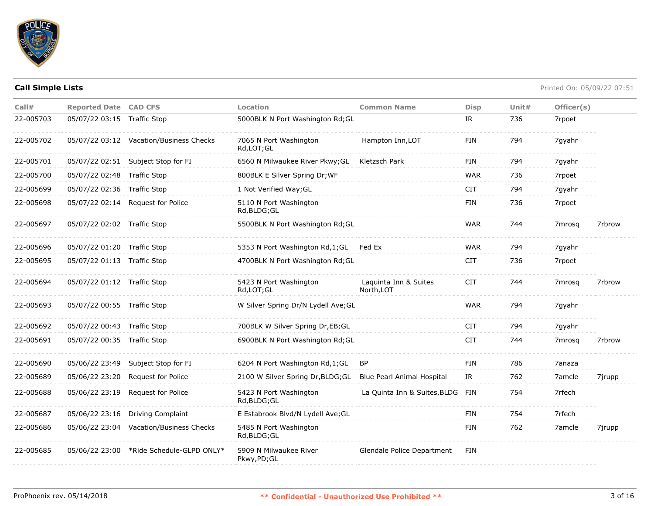

| Call#     | <b>Reported Date CAD CFS</b> |                                          | Location                               | <b>Common Name</b>                  | <b>Disp</b> | Unit $#$ | Officer(s)         |        |
|-----------|------------------------------|------------------------------------------|----------------------------------------|-------------------------------------|-------------|----------|--------------------|--------|
| 22-005703 | 05/07/22 03:15 Traffic Stop  |                                          | 5000BLK N Port Washington Rd; GL       |                                     | IR          | 736      | 7rpoet             |        |
| 22-005702 |                              | 05/07/22 03:12 Vacation/Business Checks  | 7065 N Port Washington<br>Rd,LOT;GL    | Hampton Inn, LOT                    | <b>FIN</b>  | 794      | 7qyahr             |        |
| 22-005701 |                              | 05/07/22 02:51 Subject Stop for FI       | 6560 N Milwaukee River Pkwy; GL        | Kletzsch Park                       | <b>FIN</b>  | 794      | 7gyahr             |        |
| 22-005700 | 05/07/22 02:48 Traffic Stop  |                                          | 800BLK E Silver Spring Dr; WF          |                                     | WAR         | 736      | 7rpoet             |        |
| 22-005699 | 05/07/22 02:36 Traffic Stop  |                                          | 1 Not Verified Way; GL                 |                                     | <b>CIT</b>  | 794      | 7gyahr             |        |
| 22-005698 |                              | 05/07/22 02:14 Request for Police        | 5110 N Port Washington<br>Rd, BLDG; GL |                                     | <b>FIN</b>  | 736      | 7rpoet             |        |
| 22-005697 | 05/07/22 02:02 Traffic Stop  |                                          | 5500BLK N Port Washington Rd; GL       |                                     | <b>WAR</b>  | 744      | 7mrosg             | 7rbrow |
| 22-005696 | 05/07/22 01:20 Traffic Stop  |                                          | 5353 N Port Washington Rd,1;GL         | Fed Ex                              | <b>WAR</b>  | 794      | 7gyahr             |        |
| 22-005695 | 05/07/22 01:13 Traffic Stop  |                                          | 4700BLK N Port Washington Rd; GL       |                                     | <b>CIT</b>  | 736      | 7rpoet             |        |
| 22-005694 | 05/07/22 01:12 Traffic Stop  |                                          | 5423 N Port Washington<br>Rd, LOT; GL  | Laquinta Inn & Suites<br>North, LOT | <b>CIT</b>  | 744      | 7mrosg             | 7rbrow |
| 22-005693 | 05/07/22 00:55 Traffic Stop  |                                          | W Silver Spring Dr/N Lydell Ave; GL    |                                     | <b>WAR</b>  | 794      | 7gyahr             |        |
| 22-005692 | 05/07/22 00:43 Traffic Stop  |                                          | 700BLK W Silver Spring Dr, EB; GL      |                                     | <b>CIT</b>  | 794      | 7gyahr             |        |
| 22-005691 | 05/07/22 00:35 Traffic Stop  |                                          | 6900BLK N Port Washington Rd; GL       |                                     | <b>CIT</b>  | 744      | 7 <sub>mrosa</sub> | 7rbrow |
| 22-005690 |                              | 05/06/22 23:49 Subject Stop for FI       | 6204 N Port Washington Rd,1;GL         | <b>BP</b>                           | <b>FIN</b>  | 786      | 7anaza             |        |
| 22-005689 |                              | 05/06/22 23:20 Request for Police        | 2100 W Silver Spring Dr, BLDG; GL      | Blue Pearl Animal Hospital          | IR          | 762      | 7amcle             | 7jrupp |
| 22-005688 |                              | 05/06/22 23:19 Request for Police        | 5423 N Port Washington<br>Rd, BLDG; GL | La Quinta Inn & Suites, BLDG FIN    |             | 754      | 7rfech             |        |
| 22-005687 |                              | 05/06/22 23:16 Driving Complaint         | E Estabrook Blvd/N Lydell Ave; GL      |                                     | <b>FIN</b>  | 754      | 7rfech             |        |
| 22-005686 |                              | 05/06/22 23:04 Vacation/Business Checks  | 5485 N Port Washington<br>Rd, BLDG; GL |                                     | <b>FIN</b>  | 762      | 7amcle             | 7jrupp |
| 22-005685 |                              | 05/06/22 23:00 *Ride Schedule-GLPD ONLY* | 5909 N Milwaukee River<br>Pkwy, PD; GL | Glendale Police Department          | FIN         |          |                    |        |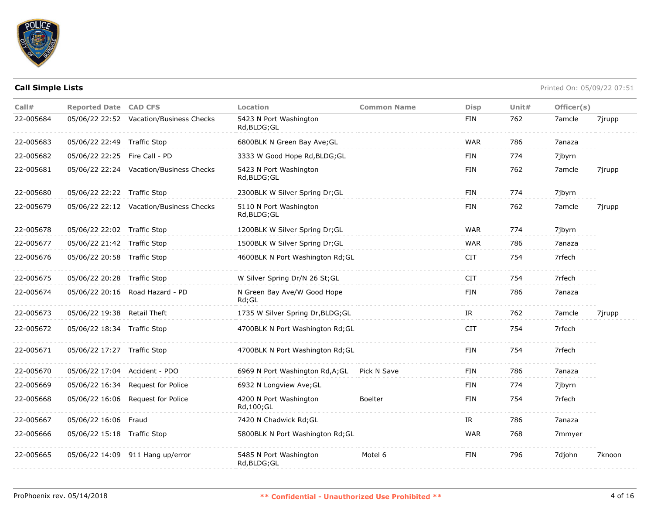

| Call#     | <b>Reported Date CAD CFS</b>  |                                         | <b>Location</b>                        | <b>Common Name</b> | <b>Disp</b> | Unit $#$ | Officer(s) |        |
|-----------|-------------------------------|-----------------------------------------|----------------------------------------|--------------------|-------------|----------|------------|--------|
| 22-005684 |                               | 05/06/22 22:52 Vacation/Business Checks | 5423 N Port Washington<br>Rd, BLDG; GL |                    | FIN         | 762      | 7amcle     | 7jrupp |
| 22-005683 | 05/06/22 22:49 Traffic Stop   |                                         | 6800BLK N Green Bay Ave; GL            |                    | <b>WAR</b>  | 786      | 7anaza     |        |
| 22-005682 | 05/06/22 22:25 Fire Call - PD |                                         | 3333 W Good Hope Rd, BLDG; GL          |                    | <b>FIN</b>  | 774      | 7jbyrn     |        |
| 22-005681 |                               | 05/06/22 22:24 Vacation/Business Checks | 5423 N Port Washington<br>Rd, BLDG; GL |                    | <b>FIN</b>  | 762      | 7amcle     | 7jrupp |
| 22-005680 | 05/06/22 22:22 Traffic Stop   |                                         | 2300BLK W Silver Spring Dr; GL         |                    | <b>FIN</b>  | 774      | 7jbyrn     |        |
| 22-005679 |                               | 05/06/22 22:12 Vacation/Business Checks | 5110 N Port Washington<br>Rd, BLDG; GL |                    | <b>FIN</b>  | 762      | 7amcle     | 7jrupp |
| 22-005678 | 05/06/22 22:02 Traffic Stop   |                                         | 1200BLK W Silver Spring Dr;GL          |                    | <b>WAR</b>  | 774      | 7jbyrn     |        |
| 22-005677 | 05/06/22 21:42 Traffic Stop   |                                         | 1500BLK W Silver Spring Dr;GL          |                    | <b>WAR</b>  | 786      | 7anaza     |        |
| 22-005676 | 05/06/22 20:58 Traffic Stop   |                                         | 4600BLK N Port Washington Rd; GL       |                    | <b>CIT</b>  | 754      | 7rfech     |        |
| 22-005675 | 05/06/22 20:28 Traffic Stop   |                                         | W Silver Spring Dr/N 26 St;GL          |                    | <b>CIT</b>  | 754      | 7rfech     |        |
| 22-005674 |                               | 05/06/22 20:16 Road Hazard - PD         | N Green Bay Ave/W Good Hope<br>Rd:GL   |                    | <b>FIN</b>  | 786      | 7anaza     |        |
| 22-005673 | 05/06/22 19:38 Retail Theft   |                                         | 1735 W Silver Spring Dr, BLDG; GL      |                    | IR          | 762      | 7amcle     | 7jrupp |
| 22-005672 | 05/06/22 18:34 Traffic Stop   |                                         | 4700BLK N Port Washington Rd; GL       |                    | <b>CIT</b>  | 754      | 7rfech     |        |
| 22-005671 | 05/06/22 17:27 Traffic Stop   |                                         | 4700BLK N Port Washington Rd; GL       |                    | <b>FIN</b>  | 754      | 7rfech     |        |
| 22-005670 | 05/06/22 17:04 Accident - PDO |                                         | 6969 N Port Washington Rd, A; GL       | Pick N Save        | <b>FIN</b>  | 786      | 7anaza     |        |
| 22-005669 | 05/06/22 16:34                | Request for Police                      | 6932 N Longview Ave; GL                |                    | <b>FIN</b>  | 774      | 7jbyrn     |        |
| 22-005668 | 05/06/22 16:06                | <b>Request for Police</b>               | 4200 N Port Washington<br>Rd, 100; GL  | <b>Boelter</b>     | <b>FIN</b>  | 754      | 7rfech     |        |
| 22-005667 | 05/06/22 16:06 Fraud          |                                         | 7420 N Chadwick Rd; GL                 |                    | IR          | 786      | 7anaza     |        |
| 22-005666 | 05/06/22 15:18 Traffic Stop   |                                         | 5800BLK N Port Washington Rd; GL       |                    | <b>WAR</b>  | 768      | 7mmyer     |        |
| 22-005665 |                               | 05/06/22 14:09 911 Hang up/error        | 5485 N Port Washington<br>Rd, BLDG; GL | Motel 6            | <b>FIN</b>  | 796      | 7djohn     | 7knoon |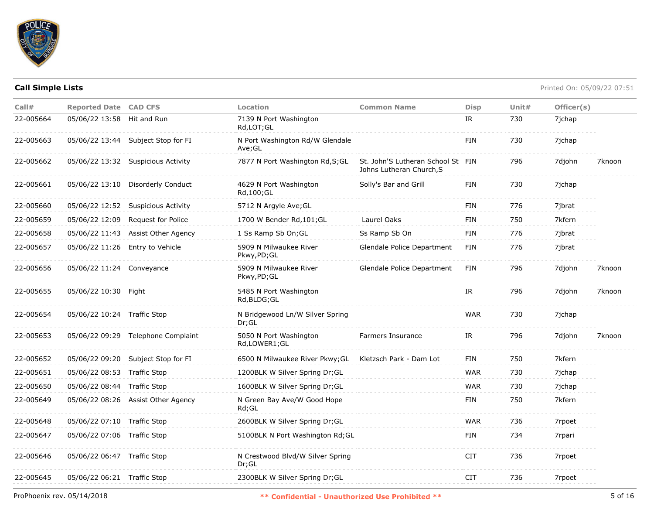

| Call#     | <b>Reported Date CAD CFS</b> |                                    | Location                                  | <b>Common Name</b>                                            | <b>Disp</b> | Unit# | Officer(s) |        |
|-----------|------------------------------|------------------------------------|-------------------------------------------|---------------------------------------------------------------|-------------|-------|------------|--------|
| 22-005664 | 05/06/22 13:58 Hit and Run   |                                    | 7139 N Port Washington<br>Rd,LOT;GL       |                                                               | IR          | 730   | 7jchap     |        |
| 22-005663 |                              | 05/06/22 13:44 Subject Stop for FI | N Port Washington Rd/W Glendale<br>Ave;GL |                                                               | FIN         | 730   | 7jchap     |        |
| 22-005662 |                              | 05/06/22 13:32 Suspicious Activity | 7877 N Port Washington Rd, S; GL          | St. John'S Lutheran School St FIN<br>Johns Lutheran Church, S |             | 796   | 7djohn     | 7knoon |
| 22-005661 |                              | 05/06/22 13:10 Disorderly Conduct  | 4629 N Port Washington<br>Rd, 100; GL     | Solly's Bar and Grill                                         | <b>FIN</b>  | 730   | 7ichap     |        |
| 22-005660 |                              | 05/06/22 12:52 Suspicious Activity | 5712 N Argyle Ave; GL                     |                                                               | <b>FIN</b>  | 776   | 7jbrat     |        |
| 22-005659 | 05/06/22 12:09               | Request for Police                 | 1700 W Bender Rd, 101; GL                 | Laurel Oaks                                                   | <b>FIN</b>  | 750   | 7kfern     |        |
| 22-005658 |                              | 05/06/22 11:43 Assist Other Agency | 1 Ss Ramp Sb On; GL                       | Ss Ramp Sb On                                                 | FIN         | 776   | 7jbrat     |        |
| 22-005657 |                              | 05/06/22 11:26 Entry to Vehicle    | 5909 N Milwaukee River<br>Pkwy,PD;GL      | Glendale Police Department                                    | FIN         | 776   | 7jbrat     |        |
| 22-005656 | 05/06/22 11:24 Conveyance    |                                    | 5909 N Milwaukee River<br>Pkwy,PD;GL      | Glendale Police Department                                    | <b>FIN</b>  | 796   | 7djohn     | 7knoon |
| 22-005655 | 05/06/22 10:30 Fight         |                                    | 5485 N Port Washington<br>Rd, BLDG; GL    |                                                               | IR          | 796   | 7djohn     | 7knoon |
| 22-005654 | 05/06/22 10:24 Traffic Stop  |                                    | N Bridgewood Ln/W Silver Spring<br>Dr:GL  |                                                               | <b>WAR</b>  | 730   | 7jchap     |        |
| 22-005653 |                              | 05/06/22 09:29 Telephone Complaint | 5050 N Port Washington<br>Rd,LOWER1;GL    | Farmers Insurance                                             | IR          | 796   | 7djohn     | 7knoon |
| 22-005652 |                              | 05/06/22 09:20 Subject Stop for FI | 6500 N Milwaukee River Pkwy; GL           | Kletzsch Park - Dam Lot                                       | <b>FIN</b>  | 750   | 7kfern     |        |
| 22-005651 | 05/06/22 08:53 Traffic Stop  |                                    | 1200BLK W Silver Spring Dr;GL             |                                                               | <b>WAR</b>  | 730   | 7jchap     |        |
| 22-005650 | 05/06/22 08:44 Traffic Stop  |                                    | 1600BLK W Silver Spring Dr; GL            |                                                               | <b>WAR</b>  | 730   | 7jchap     |        |
| 22-005649 |                              | 05/06/22 08:26 Assist Other Agency | N Green Bay Ave/W Good Hope<br>Rd;GL      |                                                               | <b>FIN</b>  | 750   | 7kfern     |        |
| 22-005648 | 05/06/22 07:10 Traffic Stop  |                                    | 2600BLK W Silver Spring Dr;GL             |                                                               | <b>WAR</b>  | 736   | 7rpoet     |        |
| 22-005647 | 05/06/22 07:06 Traffic Stop  |                                    | 5100BLK N Port Washington Rd; GL          |                                                               | <b>FIN</b>  | 734   | 7rpari     |        |
| 22-005646 | 05/06/22 06:47 Traffic Stop  |                                    | N Crestwood Blvd/W Silver Spring<br>Dr;GL |                                                               | <b>CIT</b>  | 736   | 7rpoet     |        |
| 22-005645 | 05/06/22 06:21 Traffic Stop  |                                    | 2300BLK W Silver Spring Dr;GL             |                                                               | <b>CIT</b>  | 736   | 7rpoet     |        |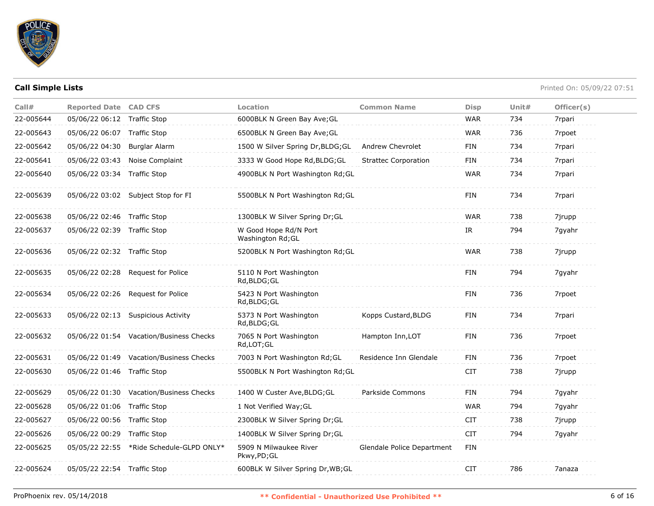

| Call#     | <b>Reported Date CAD CFS</b> |                                          | Location                                   | <b>Common Name</b>          | <b>Disp</b> | Unit $#$ | Officer(s) |
|-----------|------------------------------|------------------------------------------|--------------------------------------------|-----------------------------|-------------|----------|------------|
| 22-005644 | 05/06/22 06:12               | Traffic Stop                             | 6000BLK N Green Bay Ave; GL                |                             | <b>WAR</b>  | 734      | 7rpari     |
| 22-005643 | 05/06/22 06:07 Traffic Stop  |                                          | 6500BLK N Green Bay Ave; GL                |                             | <b>WAR</b>  | 736      | 7rpoet     |
| 22-005642 | 05/06/22 04:30               | Burglar Alarm                            | 1500 W Silver Spring Dr, BLDG; GL          | <b>Andrew Chevrolet</b>     | FIN         | 734      | 7rpari     |
| 22-005641 | 05/06/22 03:43               | Noise Complaint                          | 3333 W Good Hope Rd, BLDG; GL              | <b>Strattec Corporation</b> | <b>FIN</b>  | 734      | 7rpari     |
| 22-005640 | 05/06/22 03:34 Traffic Stop  |                                          | 4900BLK N Port Washington Rd; GL           |                             | <b>WAR</b>  | 734      | 7rpari     |
| 22-005639 |                              | 05/06/22 03:02 Subject Stop for FI       | 5500BLK N Port Washington Rd; GL           |                             | FIN         | 734      | 7rpari     |
| 22-005638 | 05/06/22 02:46 Traffic Stop  |                                          | 1300BLK W Silver Spring Dr;GL              |                             | <b>WAR</b>  | 738      | 7jrupp     |
| 22-005637 | 05/06/22 02:39 Traffic Stop  |                                          | W Good Hope Rd/N Port<br>Washington Rd; GL |                             | IR          | 794      | 7gyahr     |
| 22-005636 | 05/06/22 02:32 Traffic Stop  |                                          | 5200BLK N Port Washington Rd; GL           |                             | <b>WAR</b>  | 738      | 7jrupp     |
| 22-005635 |                              | 05/06/22 02:28 Request for Police        | 5110 N Port Washington<br>Rd, BLDG; GL     |                             | <b>FIN</b>  | 794      | 7gyahr     |
| 22-005634 |                              | 05/06/22 02:26 Request for Police        | 5423 N Port Washington<br>Rd, BLDG; GL     |                             | FIN         | 736      | 7rpoet     |
| 22-005633 |                              | 05/06/22 02:13 Suspicious Activity       | 5373 N Port Washington<br>Rd, BLDG; GL     | Kopps Custard, BLDG         | FIN         | 734      | 7rpari     |
| 22-005632 |                              | 05/06/22 01:54 Vacation/Business Checks  | 7065 N Port Washington<br>Rd,LOT;GL        | Hampton Inn, LOT            | FIN         | 736      | 7rpoet     |
| 22-005631 |                              | 05/06/22 01:49 Vacation/Business Checks  | 7003 N Port Washington Rd; GL              | Residence Inn Glendale      | <b>FIN</b>  | 736      | 7rpoet     |
| 22-005630 | 05/06/22 01:46 Traffic Stop  |                                          | 5500BLK N Port Washington Rd; GL           |                             | <b>CIT</b>  | 738      | 7jrupp     |
| 22-005629 |                              | 05/06/22 01:30 Vacation/Business Checks  | 1400 W Custer Ave, BLDG; GL                | Parkside Commons            | FIN         | 794      | 7gyahr     |
| 22-005628 | 05/06/22 01:06 Traffic Stop  |                                          | 1 Not Verified Way; GL                     |                             | <b>WAR</b>  | 794      | 7gyahr     |
| 22-005627 | 05/06/22 00:56 Traffic Stop  |                                          | 2300BLK W Silver Spring Dr;GL              |                             | <b>CIT</b>  | 738      | 7jrupp     |
| 22-005626 | 05/06/22 00:29 Traffic Stop  |                                          | 1400BLK W Silver Spring Dr;GL              |                             | <b>CIT</b>  | 794      | 7gyahr     |
| 22-005625 |                              | 05/05/22 22:55 *Ride Schedule-GLPD ONLY* | 5909 N Milwaukee River<br>Pkwy,PD;GL       | Glendale Police Department  | FIN         |          |            |
| 22-005624 | 05/05/22 22:54 Traffic Stop  |                                          | 600BLK W Silver Spring Dr, WB; GL          |                             | <b>CIT</b>  | 786      | 7anaza     |
|           |                              |                                          |                                            |                             |             |          |            |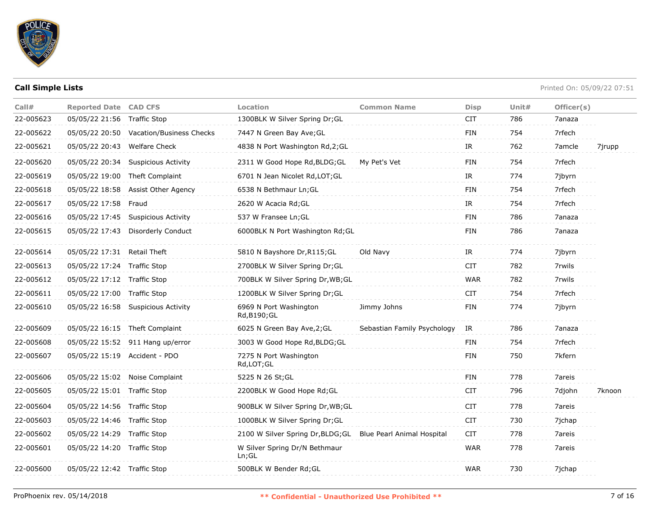

| Call#     | <b>Reported Date CAD CFS</b>  |                                         | Location                                                     | <b>Common Name</b>          | <b>Disp</b> | Unit $#$ | Officer(s) |        |
|-----------|-------------------------------|-----------------------------------------|--------------------------------------------------------------|-----------------------------|-------------|----------|------------|--------|
| 22-005623 | 05/05/22 21:56 Traffic Stop   |                                         | 1300BLK W Silver Spring Dr; GL                               |                             | <b>CIT</b>  | 786      | 7anaza     |        |
| 22-005622 |                               | 05/05/22 20:50 Vacation/Business Checks | 7447 N Green Bay Ave; GL                                     |                             | <b>FIN</b>  | 754      | 7rfech     |        |
| 22-005621 | 05/05/22 20:43 Welfare Check  |                                         | 4838 N Port Washington Rd, 2; GL                             |                             | IR          | 762      | 7amcle     | 7jrupp |
| 22-005620 | 05/05/22 20:34                | <b>Suspicious Activity</b>              | 2311 W Good Hope Rd, BLDG; GL                                | My Pet's Vet                | <b>FIN</b>  | 754      | 7rfech     |        |
| 22-005619 |                               | 05/05/22 19:00 Theft Complaint          | 6701 N Jean Nicolet Rd, LOT; GL                              |                             | IR          | 774      | 7jbyrn     |        |
| 22-005618 |                               | 05/05/22 18:58 Assist Other Agency      | 6538 N Bethmaur Ln; GL                                       |                             | <b>FIN</b>  | 754      | 7rfech     |        |
| 22-005617 | 05/05/22 17:58 Fraud          |                                         | 2620 W Acacia Rd; GL                                         |                             | IR          | 754      | 7rfech     |        |
| 22-005616 |                               | 05/05/22 17:45 Suspicious Activity      | 537 W Fransee Ln; GL                                         |                             | <b>FIN</b>  | 786      | 7anaza     |        |
| 22-005615 | 05/05/22 17:43                | Disorderly Conduct                      | 6000BLK N Port Washington Rd; GL                             |                             | FIN         | 786      | 7anaza     |        |
| 22-005614 | 05/05/22 17:31 Retail Theft   |                                         | 5810 N Bayshore Dr, R115; GL                                 | Old Navy                    | IR          | 774      | 7jbyrn     |        |
| 22-005613 | 05/05/22 17:24 Traffic Stop   |                                         | 2700BLK W Silver Spring Dr; GL                               |                             | <b>CIT</b>  | 782      | 7rwils     |        |
| 22-005612 | 05/05/22 17:12 Traffic Stop   |                                         | 700BLK W Silver Spring Dr, WB; GL                            |                             | <b>WAR</b>  | 782      | 7rwils     |        |
| 22-005611 | 05/05/22 17:00 Traffic Stop   |                                         | 1200BLK W Silver Spring Dr;GL                                |                             | CIT.        | 754      | 7rfech     |        |
| 22-005610 |                               | 05/05/22 16:58 Suspicious Activity      | 6969 N Port Washington<br>Rd, B190; GL                       | Jimmy Johns                 | <b>FIN</b>  | 774      | 7jbyrn     |        |
| 22-005609 |                               | 05/05/22 16:15 Theft Complaint          | 6025 N Green Bay Ave, 2; GL                                  | Sebastian Family Psychology | IR          | 786      | 7anaza     |        |
| 22-005608 |                               | 05/05/22 15:52 911 Hang up/error        | 3003 W Good Hope Rd, BLDG; GL                                |                             | <b>FIN</b>  | 754      | 7rfech     |        |
| 22-005607 | 05/05/22 15:19 Accident - PDO |                                         | 7275 N Port Washington<br>Rd,LOT;GL                          |                             | <b>FIN</b>  | 750      | 7kfern     |        |
| 22-005606 |                               | 05/05/22 15:02 Noise Complaint          | 5225 N 26 St; GL                                             |                             | <b>FIN</b>  | 778      | 7areis     |        |
| 22-005605 | 05/05/22 15:01 Traffic Stop   |                                         | 2200BLK W Good Hope Rd; GL                                   |                             | <b>CIT</b>  | 796      | 7djohn     | 7knoon |
| 22-005604 | 05/05/22 14:56 Traffic Stop   |                                         | 900BLK W Silver Spring Dr, WB; GL                            |                             | <b>CIT</b>  | 778      | 7areis     |        |
| 22-005603 | 05/05/22 14:46 Traffic Stop   |                                         | 1000BLK W Silver Spring Dr;GL                                |                             | <b>CIT</b>  | 730      | 7jchap     |        |
| 22-005602 | 05/05/22 14:29 Traffic Stop   |                                         | 2100 W Silver Spring Dr, BLDG; GL Blue Pearl Animal Hospital |                             | CIT         | 778      | 7areis     |        |
| 22-005601 | 05/05/22 14:20 Traffic Stop   |                                         | W Silver Spring Dr/N Bethmaur<br>Ln; GL                      |                             | <b>WAR</b>  | 778      | 7areis     |        |
| 22-005600 | 05/05/22 12:42 Traffic Stop   |                                         | 500BLK W Bender Rd; GL                                       |                             | <b>WAR</b>  | 730      | 7ichap     |        |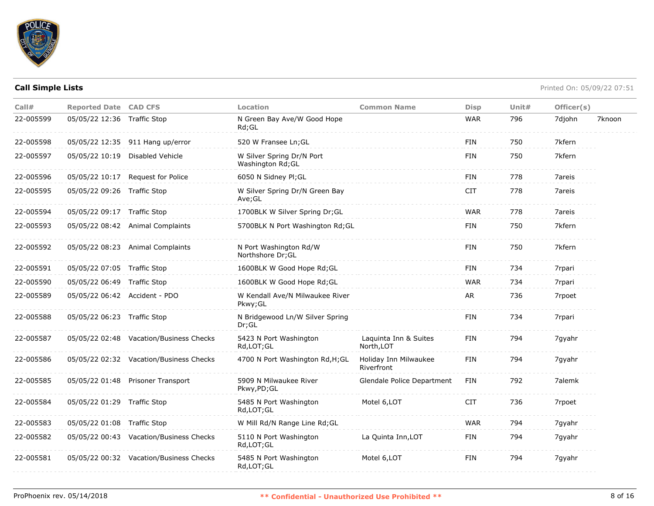

| Call#     | <b>Reported Date CAD CFS</b>  |                                         | Location                                       | <b>Common Name</b>                  | <b>Disp</b> | Unit $#$ | Officer(s) |        |
|-----------|-------------------------------|-----------------------------------------|------------------------------------------------|-------------------------------------|-------------|----------|------------|--------|
| 22-005599 | 05/05/22 12:36 Traffic Stop   |                                         | N Green Bay Ave/W Good Hope<br>$Rd$ ; GL       |                                     | <b>WAR</b>  | 796      | 7djohn     | 7knoon |
| 22-005598 |                               | 05/05/22 12:35 911 Hang up/error        | 520 W Fransee Ln; GL                           |                                     | FIN         | 750      | 7kfern     |        |
| 22-005597 |                               | 05/05/22 10:19 Disabled Vehicle         | W Silver Spring Dr/N Port<br>Washington Rd; GL |                                     | <b>FIN</b>  | 750      | 7kfern     |        |
| 22-005596 |                               | 05/05/22 10:17 Request for Police       | 6050 N Sidney Pl;GL                            |                                     | <b>FIN</b>  | 778      | 7areis     |        |
| 22-005595 | 05/05/22 09:26 Traffic Stop   |                                         | W Silver Spring Dr/N Green Bay<br>Ave;GL       |                                     | <b>CIT</b>  | 778      | 7areis     |        |
| 22-005594 | 05/05/22 09:17 Traffic Stop   |                                         | 1700BLK W Silver Spring Dr;GL                  |                                     | <b>WAR</b>  | 778      | 7areis     |        |
| 22-005593 |                               | 05/05/22 08:42 Animal Complaints        | 5700BLK N Port Washington Rd; GL               |                                     | <b>FIN</b>  | 750      | 7kfern     |        |
| 22-005592 |                               | 05/05/22 08:23 Animal Complaints        | N Port Washington Rd/W<br>Northshore Dr; GL    |                                     | <b>FIN</b>  | 750      | 7kfern     |        |
| 22-005591 | 05/05/22 07:05 Traffic Stop   |                                         | 1600BLK W Good Hope Rd; GL                     |                                     | <b>FIN</b>  | 734      | 7rpari     |        |
| 22-005590 | 05/05/22 06:49 Traffic Stop   |                                         | 1600BLK W Good Hope Rd; GL                     |                                     | <b>WAR</b>  | 734      | 7rpari     |        |
| 22-005589 | 05/05/22 06:42 Accident - PDO |                                         | W Kendall Ave/N Milwaukee River<br>Pkwy; GL    |                                     | AR          | 736      | 7rpoet     |        |
| 22-005588 | 05/05/22 06:23 Traffic Stop   |                                         | N Bridgewood Ln/W Silver Spring<br>Dr;GL       |                                     | <b>FIN</b>  | 734      | 7rpari     |        |
| 22-005587 |                               | 05/05/22 02:48 Vacation/Business Checks | 5423 N Port Washington<br>Rd, LOT; GL          | Laquinta Inn & Suites<br>North, LOT | <b>FIN</b>  | 794      | 7gyahr     |        |
| 22-005586 |                               | 05/05/22 02:32 Vacation/Business Checks | 4700 N Port Washington Rd, H; GL               | Holiday Inn Milwaukee<br>Riverfront | <b>FIN</b>  | 794      | 7gyahr     |        |
| 22-005585 |                               | 05/05/22 01:48 Prisoner Transport       | 5909 N Milwaukee River<br>Pkwy, PD; GL         | Glendale Police Department          | FIN         | 792      | 7alemk     |        |
| 22-005584 | 05/05/22 01:29 Traffic Stop   |                                         | 5485 N Port Washington<br>Rd,LOT;GL            | Motel 6, LOT                        | <b>CIT</b>  | 736      | 7rpoet     |        |
| 22-005583 | 05/05/22 01:08 Traffic Stop   |                                         | W Mill Rd/N Range Line Rd; GL                  |                                     | <b>WAR</b>  | 794      | 7gyahr     |        |
| 22-005582 |                               | 05/05/22 00:43 Vacation/Business Checks | 5110 N Port Washington<br>Rd,LOT;GL            | La Quinta Inn, LOT                  | <b>FIN</b>  | 794      | 7gyahr     |        |
| 22-005581 |                               | 05/05/22 00:32 Vacation/Business Checks | 5485 N Port Washington<br>Rd, LOT; GL          | Motel 6, LOT                        | <b>FIN</b>  | 794      | 7gyahr     |        |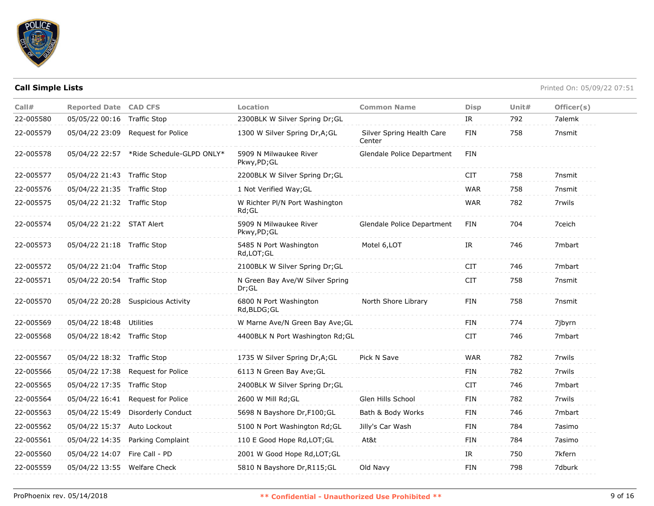

| Call#     | <b>Reported Date CAD CFS</b>  |                                          | Location                                    | <b>Common Name</b>                  | <b>Disp</b> | Unit# | Officer(s) |
|-----------|-------------------------------|------------------------------------------|---------------------------------------------|-------------------------------------|-------------|-------|------------|
| 22-005580 | 05/05/22 00:16                | <b>Traffic Stop</b>                      | 2300BLK W Silver Spring Dr; GL              |                                     | IR          | 792   | 7alemk     |
| 22-005579 | 05/04/22 23:09                | Request for Police                       | 1300 W Silver Spring Dr, A; GL              | Silver Spring Health Care<br>Center | <b>FIN</b>  | 758   | 7nsmit     |
| 22-005578 |                               | 05/04/22 22:57 *Ride Schedule-GLPD ONLY* | 5909 N Milwaukee River<br>Pkwy,PD;GL        | Glendale Police Department          | FIN         |       |            |
| 22-005577 | 05/04/22 21:43 Traffic Stop   |                                          | 2200BLK W Silver Spring Dr; GL              |                                     | <b>CIT</b>  | 758   | 7nsmit     |
| 22-005576 | 05/04/22 21:35 Traffic Stop   |                                          | 1 Not Verified Way; GL                      |                                     | <b>WAR</b>  | 758   | 7nsmit     |
| 22-005575 | 05/04/22 21:32 Traffic Stop   |                                          | W Richter Pl/N Port Washington<br>$Rd$ ; GL |                                     | <b>WAR</b>  | 782   | 7rwils     |
| 22-005574 | 05/04/22 21:22 STAT Alert     |                                          | 5909 N Milwaukee River<br>Pkwy,PD;GL        | Glendale Police Department          | FIN         | 704   | 7ceich     |
| 22-005573 | 05/04/22 21:18 Traffic Stop   |                                          | 5485 N Port Washington<br>Rd,LOT;GL         | Motel 6, LOT                        | IR          | 746   | 7mbart     |
| 22-005572 | 05/04/22 21:04 Traffic Stop   |                                          | 2100BLK W Silver Spring Dr;GL               |                                     | <b>CIT</b>  | 746   | 7mbart     |
| 22-005571 | 05/04/22 20:54 Traffic Stop   |                                          | N Green Bay Ave/W Silver Spring<br>Dr;GL    |                                     | <b>CIT</b>  | 758   | 7nsmit     |
| 22-005570 |                               | 05/04/22 20:28 Suspicious Activity       | 6800 N Port Washington<br>Rd,BLDG;GL        | North Shore Library                 | FIN         | 758   | 7nsmit     |
| 22-005569 | 05/04/22 18:48 Utilities      |                                          | W Marne Ave/N Green Bay Ave; GL             |                                     | <b>FIN</b>  | 774   | 7jbyrn     |
| 22-005568 | 05/04/22 18:42 Traffic Stop   |                                          | 4400BLK N Port Washington Rd; GL            |                                     | <b>CIT</b>  | 746   | 7mbart     |
| 22-005567 | 05/04/22 18:32 Traffic Stop   |                                          | 1735 W Silver Spring Dr, A; GL              | Pick N Save                         | <b>WAR</b>  | 782   | 7rwils     |
| 22-005566 | 05/04/22 17:38                | Request for Police                       | 6113 N Green Bay Ave; GL                    |                                     | FIN         | 782   | 7rwils     |
| 22-005565 | 05/04/22 17:35                | <b>Traffic Stop</b>                      | 2400BLK W Silver Spring Dr; GL              |                                     | <b>CIT</b>  | 746   | 7mbart     |
| 22-005564 | 05/04/22 16:41                | <b>Request for Police</b>                | 2600 W Mill Rd; GL                          | Glen Hills School                   | <b>FIN</b>  | 782   | 7rwils     |
| 22-005563 | 05/04/22 15:49                | Disorderly Conduct                       | 5698 N Bayshore Dr, F100; GL                | Bath & Body Works                   | FIN         | 746   | 7mbart     |
| 22-005562 | 05/04/22 15:37                | Auto Lockout                             | 5100 N Port Washington Rd; GL               | Jilly's Car Wash                    | <b>FIN</b>  | 784   | 7asimo     |
| 22-005561 | 05/04/22 14:35                | Parking Complaint                        | 110 E Good Hope Rd, LOT; GL                 | At&t                                | <b>FIN</b>  | 784   | 7asimo     |
| 22-005560 | 05/04/22 14:07 Fire Call - PD |                                          | 2001 W Good Hope Rd, LOT; GL                |                                     | IR          | 750   | 7kfern     |
| 22-005559 | 05/04/22 13:55 Welfare Check  |                                          | 5810 N Bayshore Dr, R115; GL                | Old Navy                            | <b>FIN</b>  | 798   | 7dburk     |
|           |                               |                                          |                                             |                                     |             |       |            |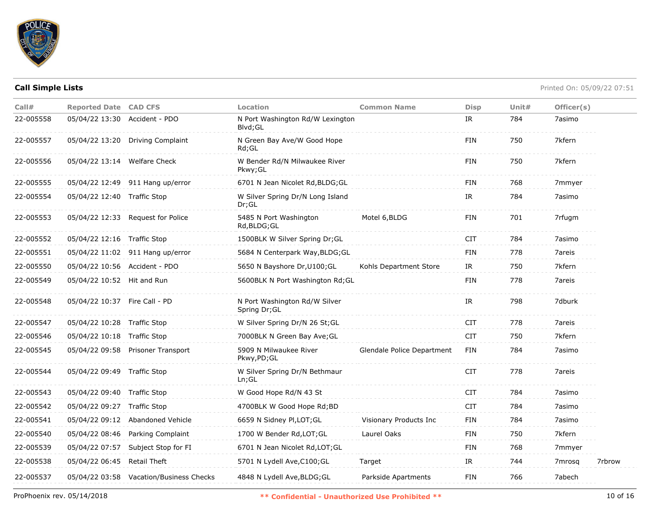

| Call#     | <b>Reported Date CAD CFS</b>  |                                         | Location                                       | <b>Common Name</b>         | <b>Disp</b> | Unit $#$ | Officer(s) |        |
|-----------|-------------------------------|-----------------------------------------|------------------------------------------------|----------------------------|-------------|----------|------------|--------|
| 22-005558 | 05/04/22 13:30 Accident - PDO |                                         | N Port Washington Rd/W Lexington<br>Blvd:GL    |                            | IR          | 784      | 7asimo     |        |
| 22-005557 |                               | 05/04/22 13:20 Driving Complaint        | N Green Bay Ave/W Good Hope<br>Rd;GL           |                            | FIN         | 750      | 7kfern     |        |
| 22-005556 | 05/04/22 13:14 Welfare Check  |                                         | W Bender Rd/N Milwaukee River<br>Pkwy;GL       |                            | <b>FIN</b>  | 750      | 7kfern     |        |
| 22-005555 |                               | 05/04/22 12:49 911 Hang up/error        | 6701 N Jean Nicolet Rd, BLDG; GL               |                            | <b>FIN</b>  | 768      | 7mmyer     |        |
| 22-005554 | 05/04/22 12:40 Traffic Stop   |                                         | W Silver Spring Dr/N Long Island<br>Dr; GL     |                            | IR          | 784      | 7asimo     |        |
| 22-005553 | 05/04/22 12:33                | Request for Police                      | 5485 N Port Washington<br>Rd, BLDG; GL         | Motel 6, BLDG              | FIN         | 701      | 7rfugm     |        |
| 22-005552 | 05/04/22 12:16 Traffic Stop   |                                         | 1500BLK W Silver Spring Dr; GL                 |                            | <b>CIT</b>  | 784      | 7asimo     |        |
| 22-005551 |                               | 05/04/22 11:02 911 Hang up/error        | 5684 N Centerpark Way, BLDG; GL                |                            | <b>FIN</b>  | 778      | 7areis     |        |
| 22-005550 | 05/04/22 10:56 Accident - PDO |                                         | 5650 N Bayshore Dr, U100; GL                   | Kohls Department Store     | IR          | 750      | 7kfern     |        |
| 22-005549 | 05/04/22 10:52 Hit and Run    |                                         | 5600BLK N Port Washington Rd; GL               |                            | FIN         | 778      | 7areis     |        |
| 22-005548 | 05/04/22 10:37 Fire Call - PD |                                         | N Port Washington Rd/W Silver<br>Spring Dr; GL |                            | IR.         | 798      | 7dburk     |        |
| 22-005547 | 05/04/22 10:28 Traffic Stop   |                                         | W Silver Spring Dr/N 26 St;GL                  |                            | <b>CIT</b>  | 778      | 7areis     |        |
| 22-005546 | 05/04/22 10:18 Traffic Stop   |                                         | 7000BLK N Green Bay Ave; GL                    |                            | <b>CIT</b>  | 750      | 7kfern     |        |
| 22-005545 |                               | 05/04/22 09:58 Prisoner Transport       | 5909 N Milwaukee River<br>Pkwy,PD;GL           | Glendale Police Department | FIN         | 784      | 7asimo     |        |
| 22-005544 | 05/04/22 09:49 Traffic Stop   |                                         | W Silver Spring Dr/N Bethmaur<br>Ln:GL         |                            | <b>CIT</b>  | 778      | 7areis     |        |
| 22-005543 | 05/04/22 09:40 Traffic Stop   |                                         | W Good Hope Rd/N 43 St                         |                            | <b>CIT</b>  | 784      | 7asimo     |        |
| 22-005542 | 05/04/22 09:27 Traffic Stop   |                                         | 4700BLK W Good Hope Rd;BD                      |                            | <b>CIT</b>  | 784      | 7asimo     |        |
| 22-005541 | 05/04/22 09:12                | Abandoned Vehicle                       | 6659 N Sidney Pl,LOT;GL                        | Visionary Products Inc     | <b>FIN</b>  | 784      | 7asimo     |        |
| 22-005540 | 05/04/22 08:46                | Parking Complaint                       | 1700 W Bender Rd, LOT; GL                      | Laurel Oaks                | FIN         | 750      | 7kfern     |        |
| 22-005539 | 05/04/22 07:57                | Subject Stop for FI                     | 6701 N Jean Nicolet Rd, LOT; GL                |                            | FIN         | 768      | 7mmyer     |        |
| 22-005538 | 05/04/22 06:45                | Retail Theft                            | 5701 N Lydell Ave, C100; GL                    | Target                     | IR          | 744      | 7mrosa     | 7rbrow |
| 22-005537 |                               | 05/04/22 03:58 Vacation/Business Checks | 4848 N Lydell Ave, BLDG; GL                    | Parkside Apartments        | FIN         | 766      | 7abech     |        |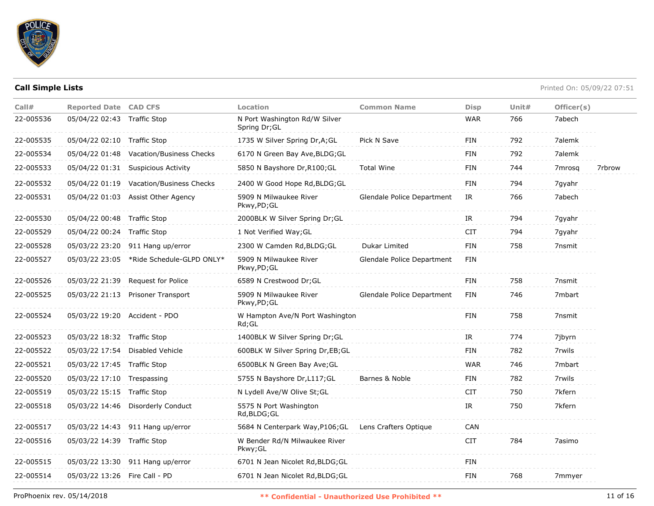

| Call#     | <b>Reported Date CAD CFS</b>  |                                         | Location                                       | <b>Common Name</b>         | <b>Disp</b> | Unit# | Officer(s)         |        |
|-----------|-------------------------------|-----------------------------------------|------------------------------------------------|----------------------------|-------------|-------|--------------------|--------|
| 22-005536 | 05/04/22 02:43 Traffic Stop   |                                         | N Port Washington Rd/W Silver<br>Spring Dr; GL |                            | <b>WAR</b>  | 766   | 7abech             |        |
| 22-005535 | 05/04/22 02:10 Traffic Stop   |                                         | 1735 W Silver Spring Dr, A; GL                 | Pick N Save                | <b>FIN</b>  | 792   | 7alemk             |        |
| 22-005534 | 05/04/22 01:48                | Vacation/Business Checks                | 6170 N Green Bay Ave, BLDG; GL                 |                            | FIN         | 792   | 7alemk             |        |
| 22-005533 |                               | 05/04/22 01:31 Suspicious Activity      | 5850 N Bayshore Dr, R100; GL                   | <b>Total Wine</b>          | <b>FIN</b>  | 744   | 7 <sub>mrosq</sub> | 7rbrow |
| 22-005532 |                               | 05/04/22 01:19 Vacation/Business Checks | 2400 W Good Hope Rd, BLDG; GL                  |                            | <b>FIN</b>  | 794   | 7gyahr             |        |
| 22-005531 |                               | 05/04/22 01:03 Assist Other Agency      | 5909 N Milwaukee River<br>Pkwy,PD;GL           | Glendale Police Department | IR          | 766   | 7abech             |        |
| 22-005530 | 05/04/22 00:48 Traffic Stop   |                                         | 2000BLK W Silver Spring Dr;GL                  |                            | IR          | 794   | 7gyahr             |        |
| 22-005529 | 05/04/22 00:24 Traffic Stop   |                                         | 1 Not Verified Way; GL                         |                            | <b>CIT</b>  | 794   | 7gyahr             |        |
| 22-005528 | 05/03/22 23:20                | 911 Hang up/error                       | 2300 W Camden Rd, BLDG; GL                     | Dukar Limited              | <b>FIN</b>  | 758   | 7nsmit             |        |
| 22-005527 | 05/03/22 23:05                | *Ride Schedule-GLPD ONLY*               | 5909 N Milwaukee River<br>Pkwy,PD;GL           | Glendale Police Department | FIN         |       |                    |        |
| 22-005526 |                               | 05/03/22 21:39 Request for Police       | 6589 N Crestwood Dr; GL                        |                            | <b>FIN</b>  | 758   | 7nsmit             |        |
| 22-005525 |                               | 05/03/22 21:13 Prisoner Transport       | 5909 N Milwaukee River<br>Pkwy,PD;GL           | Glendale Police Department | <b>FIN</b>  | 746   | 7mbart             |        |
| 22-005524 | 05/03/22 19:20 Accident - PDO |                                         | W Hampton Ave/N Port Washington<br>$Rd$ ; GL   |                            | <b>FIN</b>  | 758   | 7nsmit             |        |
| 22-005523 | 05/03/22 18:32 Traffic Stop   |                                         | 1400BLK W Silver Spring Dr; GL                 |                            | IR          | 774   | 7jbyrn             |        |
| 22-005522 |                               | 05/03/22 17:54 Disabled Vehicle         | 600BLK W Silver Spring Dr,EB;GL                |                            | <b>FIN</b>  | 782   | 7rwils             |        |
| 22-005521 | 05/03/22 17:45 Traffic Stop   |                                         | 6500BLK N Green Bay Ave; GL                    |                            | <b>WAR</b>  | 746   | 7mbart             |        |
| 22-005520 | 05/03/22 17:10 Trespassing    |                                         | 5755 N Bayshore Dr, L117; GL                   | Barnes & Noble             | <b>FIN</b>  | 782   | 7rwils             |        |
| 22-005519 | 05/03/22 15:15 Traffic Stop   |                                         | N Lydell Ave/W Olive St; GL                    |                            | <b>CIT</b>  | 750   | 7kfern             |        |
| 22-005518 | 05/03/22 14:46                | <b>Disorderly Conduct</b>               | 5575 N Port Washington<br>Rd,BLDG;GL           |                            | IR          | 750   | 7kfern             |        |
| 22-005517 |                               | 05/03/22 14:43 911 Hang up/error        | 5684 N Centerpark Way, P106; GL                | Lens Crafters Optique      | <b>CAN</b>  |       |                    |        |
| 22-005516 | 05/03/22 14:39 Traffic Stop   |                                         | W Bender Rd/N Milwaukee River<br>Pkwy; GL      |                            | <b>CIT</b>  | 784   | 7asimo             |        |
| 22-005515 |                               | 05/03/22 13:30 911 Hang up/error        | 6701 N Jean Nicolet Rd, BLDG; GL               |                            | <b>FIN</b>  |       |                    |        |
| 22-005514 | 05/03/22 13:26 Fire Call - PD |                                         | 6701 N Jean Nicolet Rd, BLDG; GL               |                            | FIN         | 768   | 7mmyer             |        |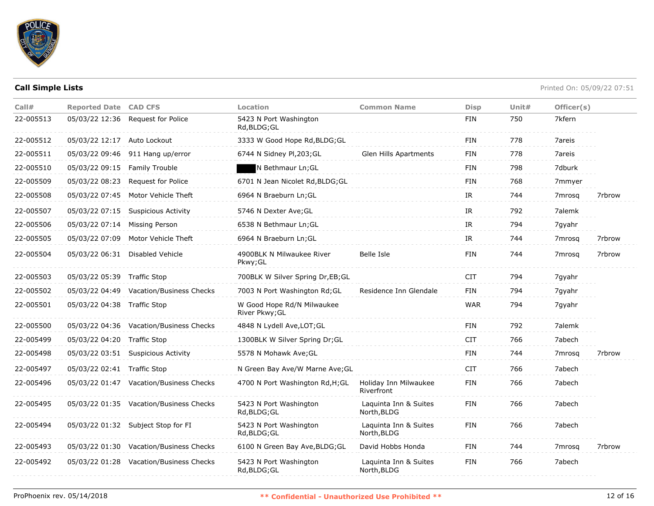

| Call#     | <b>Reported Date CAD CFS</b> |                                         | Location                                     | <b>Common Name</b>                   | <b>Disp</b>                       | Unit# | Officer(s)         |        |
|-----------|------------------------------|-----------------------------------------|----------------------------------------------|--------------------------------------|-----------------------------------|-------|--------------------|--------|
| 22-005513 | 05/03/22 12:36               | Request for Police                      | 5423 N Port Washington<br>Rd, BLDG; GL       |                                      | FIN                               | 750   | 7kfern             |        |
| 22-005512 | 05/03/22 12:17 Auto Lockout  |                                         | 3333 W Good Hope Rd, BLDG; GL                |                                      | FIN                               | 778   | 7areis             |        |
| 22-005511 | 05/03/22 09:46               | 911 Hang up/error                       | 6744 N Sidney Pl, 203; GL                    | Glen Hills Apartments                | FIN                               | 778   | 7areis             |        |
| 22-005510 | 05/03/22 09:15               | <b>Family Trouble</b>                   | N Bethmaur Ln; GL                            |                                      | <b>FIN</b>                        | 798   | 7dburk             |        |
| 22-005509 | 05/03/22 08:23               | Request for Police                      | 6701 N Jean Nicolet Rd, BLDG; GL             |                                      | FIN                               | 768   | 7mmyer             |        |
| 22-005508 | 05/03/22 07:45               | Motor Vehicle Theft                     | 6964 N Braeburn Ln; GL                       |                                      | IR                                | 744   | 7mrosq             | 7rbrow |
| 22-005507 | 05/03/22 07:15               | <b>Suspicious Activity</b>              | 5746 N Dexter Ave; GL                        |                                      | $\ensuremath{\mathsf{IR}}\xspace$ | 792   | 7alemk             |        |
| 22-005506 | 05/03/22 07:14               | Missing Person                          | 6538 N Bethmaur Ln; GL                       |                                      | IR                                | 794   | 7gyahr             |        |
| 22-005505 | 05/03/22 07:09               | Motor Vehicle Theft                     | 6964 N Braeburn Ln; GL                       |                                      | IR                                | 744   | 7 <sub>mrosq</sub> | 7rbrow |
| 22-005504 | 05/03/22 06:31               | Disabled Vehicle                        | 4900BLK N Milwaukee River<br>Pkwy; GL        | Belle Isle                           | <b>FIN</b>                        | 744   | 7 <sub>mrosa</sub> | 7rbrow |
| 22-005503 | 05/03/22 05:39 Traffic Stop  |                                         | 700BLK W Silver Spring Dr,EB;GL              |                                      | <b>CIT</b>                        | 794   | 7gyahr             |        |
| 22-005502 |                              | 05/03/22 04:49 Vacation/Business Checks | 7003 N Port Washington Rd; GL                | Residence Inn Glendale               | FIN                               | 794   | 7gyahr             |        |
| 22-005501 | 05/03/22 04:38 Traffic Stop  |                                         | W Good Hope Rd/N Milwaukee<br>River Pkwy; GL |                                      | <b>WAR</b>                        | 794   | 7gyahr             |        |
| 22-005500 |                              | 05/03/22 04:36 Vacation/Business Checks | 4848 N Lydell Ave, LOT; GL                   |                                      | <b>FIN</b>                        | 792   | 7alemk             |        |
| 22-005499 | 05/03/22 04:20 Traffic Stop  |                                         | 1300BLK W Silver Spring Dr; GL               |                                      | <b>CIT</b>                        | 766   | 7abech             |        |
| 22-005498 |                              | 05/03/22 03:51 Suspicious Activity      | 5578 N Mohawk Ave; GL                        |                                      | FIN                               | 744   | 7mrosq             | 7rbrow |
| 22-005497 | 05/03/22 02:41 Traffic Stop  |                                         | N Green Bay Ave/W Marne Ave; GL              |                                      | <b>CIT</b>                        | 766   | 7abech             |        |
| 22-005496 |                              | 05/03/22 01:47 Vacation/Business Checks | 4700 N Port Washington Rd, H; GL             | Holiday Inn Milwaukee<br>Riverfront  | <b>FIN</b>                        | 766   | 7abech             |        |
| 22-005495 |                              | 05/03/22 01:35 Vacation/Business Checks | 5423 N Port Washington<br>Rd, BLDG; GL       | Laquinta Inn & Suites<br>North, BLDG | FIN                               | 766   | 7abech             |        |
| 22-005494 |                              | 05/03/22 01:32 Subject Stop for FI      | 5423 N Port Washington<br>Rd, BLDG; GL       | Laquinta Inn & Suites<br>North, BLDG | <b>FIN</b>                        | 766   | 7abech             |        |
| 22-005493 |                              | 05/03/22 01:30 Vacation/Business Checks | 6100 N Green Bay Ave, BLDG; GL               | David Hobbs Honda                    | FIN                               | 744   | 7mrosg             | 7rbrow |
| 22-005492 | 05/03/22 01:28               | <b>Vacation/Business Checks</b>         | 5423 N Port Washington<br>Rd, BLDG; GL       | Laquinta Inn & Suites<br>North, BLDG | <b>FIN</b>                        | 766   | 7abech             |        |
|           |                              |                                         |                                              |                                      |                                   |       |                    |        |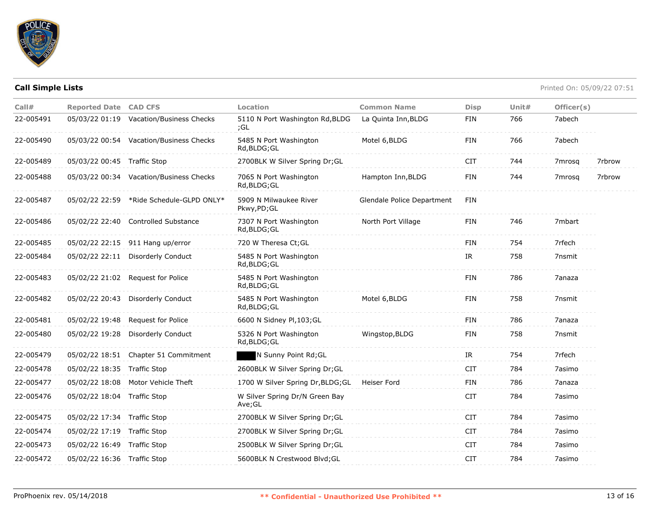

| Call#     | <b>Reported Date CAD CFS</b> |                                          | Location                                 | <b>Common Name</b>         | <b>Disp</b> | Unit# | Officer(s) |        |
|-----------|------------------------------|------------------------------------------|------------------------------------------|----------------------------|-------------|-------|------------|--------|
| 22-005491 |                              | 05/03/22 01:19 Vacation/Business Checks  | 5110 N Port Washington Rd, BLDG<br>;GL   | La Quinta Inn, BLDG        | <b>FIN</b>  | 766   | 7abech     |        |
| 22-005490 |                              | 05/03/22 00:54 Vacation/Business Checks  | 5485 N Port Washington<br>Rd, BLDG; GL   | Motel 6, BLDG              | <b>FIN</b>  | 766   | 7abech     |        |
| 22-005489 | 05/03/22 00:45 Traffic Stop  |                                          | 2700BLK W Silver Spring Dr;GL            |                            | <b>CIT</b>  | 744   | 7mrosg     | 7rbrow |
| 22-005488 |                              | 05/03/22 00:34 Vacation/Business Checks  | 7065 N Port Washington<br>Rd, BLDG; GL   | Hampton Inn, BLDG          | <b>FIN</b>  | 744   | 7mrosa     | 7rbrow |
| 22-005487 |                              | 05/02/22 22:59 *Ride Schedule-GLPD ONLY* | 5909 N Milwaukee River<br>Pkwy,PD;GL     | Glendale Police Department | <b>FIN</b>  |       |            |        |
| 22-005486 |                              | 05/02/22 22:40 Controlled Substance      | 7307 N Port Washington<br>Rd, BLDG; GL   | North Port Village         | <b>FIN</b>  | 746   | 7mbart     |        |
| 22-005485 |                              | 05/02/22 22:15 911 Hang up/error         | 720 W Theresa Ct;GL                      |                            | FIN         | 754   | 7rfech     |        |
| 22-005484 |                              | 05/02/22 22:11 Disorderly Conduct        | 5485 N Port Washington<br>Rd, BLDG; GL   |                            | IR.         | 758   | 7nsmit     |        |
| 22-005483 |                              | 05/02/22 21:02 Request for Police        | 5485 N Port Washington<br>Rd, BLDG; GL   |                            | <b>FIN</b>  | 786   | 7anaza     |        |
| 22-005482 |                              | 05/02/22 20:43 Disorderly Conduct        | 5485 N Port Washington<br>Rd, BLDG; GL   | Motel 6, BLDG              | <b>FIN</b>  | 758   | 7nsmit     |        |
| 22-005481 |                              | 05/02/22 19:48 Request for Police        | 6600 N Sidney Pl, 103; GL                |                            | <b>FIN</b>  | 786   | 7anaza     |        |
| 22-005480 |                              | 05/02/22 19:28 Disorderly Conduct        | 5326 N Port Washington<br>Rd, BLDG; GL   | Wingstop, BLDG             | <b>FIN</b>  | 758   | 7nsmit     |        |
| 22-005479 |                              | 05/02/22 18:51 Chapter 51 Commitment     | N Sunny Point Rd; GL                     |                            | IR          | 754   | 7rfech     |        |
| 22-005478 | 05/02/22 18:35 Traffic Stop  |                                          | 2600BLK W Silver Spring Dr;GL            |                            | <b>CIT</b>  | 784   | 7asimo     |        |
| 22-005477 | 05/02/22 18:08               | Motor Vehicle Theft                      | 1700 W Silver Spring Dr, BLDG; GL        | Heiser Ford                | <b>FIN</b>  | 786   | 7anaza     |        |
| 22-005476 | 05/02/22 18:04 Traffic Stop  |                                          | W Silver Spring Dr/N Green Bay<br>Ave;GL |                            | <b>CIT</b>  | 784   | 7asimo     |        |
| 22-005475 | 05/02/22 17:34 Traffic Stop  |                                          | 2700BLK W Silver Spring Dr;GL            |                            | <b>CIT</b>  | 784   | 7asimo     |        |
| 22-005474 | 05/02/22 17:19 Traffic Stop  |                                          | 2700BLK W Silver Spring Dr;GL            |                            | <b>CIT</b>  | 784   | 7asimo     |        |
| 22-005473 | 05/02/22 16:49 Traffic Stop  |                                          | 2500BLK W Silver Spring Dr;GL            |                            | <b>CIT</b>  | 784   | 7asimo     |        |
| 22-005472 | 05/02/22 16:36 Traffic Stop  |                                          | 5600BLK N Crestwood Blvd; GL             |                            | <b>CIT</b>  | 784   | 7asimo     |        |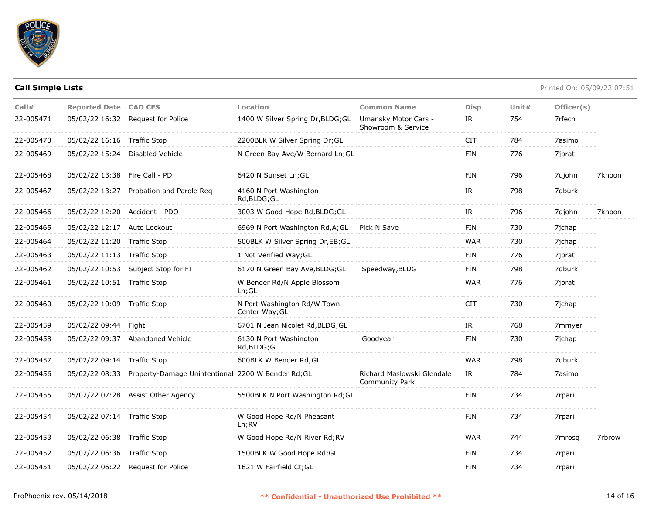

| Call#     | <b>Reported Date CAD CFS</b>  |                                                                   | Location                                      | <b>Common Name</b>                                  | <b>Disp</b> | Unit# | Officer(s) |        |
|-----------|-------------------------------|-------------------------------------------------------------------|-----------------------------------------------|-----------------------------------------------------|-------------|-------|------------|--------|
| 22-005471 |                               | 05/02/22 16:32 Request for Police                                 | 1400 W Silver Spring Dr, BLDG; GL             | Umansky Motor Cars -<br>Showroom & Service          | IR          | 754   | 7rfech     |        |
| 22-005470 | 05/02/22 16:16 Traffic Stop   |                                                                   | 2200BLK W Silver Spring Dr;GL                 |                                                     | <b>CIT</b>  | 784   | 7asimo     |        |
| 22-005469 |                               | 05/02/22 15:24 Disabled Vehicle                                   | N Green Bay Ave/W Bernard Ln; GL              |                                                     | FIN         | 776   | 7jbrat     |        |
| 22-005468 | 05/02/22 13:38 Fire Call - PD |                                                                   | 6420 N Sunset Ln; GL                          |                                                     | FIN         | 796   | 7djohn     | 7knoon |
| 22-005467 |                               | 05/02/22 13:27 Probation and Parole Req                           | 4160 N Port Washington<br>Rd,BLDG;GL          |                                                     | IR          | 798   | 7dburk     |        |
| 22-005466 | 05/02/22 12:20 Accident - PDO |                                                                   | 3003 W Good Hope Rd, BLDG; GL                 |                                                     | IR          | 796   | 7djohn     | 7knoon |
| 22-005465 | 05/02/22 12:17                | Auto Lockout                                                      | 6969 N Port Washington Rd, A; GL              | Pick N Save                                         | <b>FIN</b>  | 730   | 7jchap     |        |
| 22-005464 | 05/02/22 11:20                | <b>Traffic Stop</b>                                               | 500BLK W Silver Spring Dr, EB; GL             |                                                     | <b>WAR</b>  | 730   | 7jchap     |        |
| 22-005463 | 05/02/22 11:13 Traffic Stop   |                                                                   | 1 Not Verified Way; GL                        |                                                     | <b>FIN</b>  | 776   | 7jbrat     |        |
| 22-005462 |                               | 05/02/22 10:53 Subject Stop for FI                                | 6170 N Green Bay Ave, BLDG; GL                | Speedway, BLDG                                      | <b>FIN</b>  | 798   | 7dburk     |        |
| 22-005461 | 05/02/22 10:51 Traffic Stop   |                                                                   | W Bender Rd/N Apple Blossom<br>$Ln$ ; GL      |                                                     | <b>WAR</b>  | 776   | 7jbrat     |        |
| 22-005460 | 05/02/22 10:09 Traffic Stop   |                                                                   | N Port Washington Rd/W Town<br>Center Way; GL |                                                     | <b>CIT</b>  | 730   | 7jchap     |        |
| 22-005459 | 05/02/22 09:44 Fight          |                                                                   | 6701 N Jean Nicolet Rd, BLDG; GL              |                                                     | IR          | 768   | 7mmyer     |        |
| 22-005458 |                               | 05/02/22 09:37 Abandoned Vehicle                                  | 6130 N Port Washington<br>Rd, BLDG; GL        | Goodyear                                            | FIN         | 730   | 7jchap     |        |
| 22-005457 | 05/02/22 09:14 Traffic Stop   |                                                                   | 600BLK W Bender Rd; GL                        |                                                     | <b>WAR</b>  | 798   | 7dburk     |        |
| 22-005456 |                               | 05/02/22 08:33 Property-Damage Unintentional 2200 W Bender Rd; GL |                                               | Richard Maslowski Glendale<br><b>Community Park</b> | IR          | 784   | 7asimo     |        |
| 22-005455 |                               | 05/02/22 07:28 Assist Other Agency                                | 5500BLK N Port Washington Rd; GL              |                                                     | <b>FIN</b>  | 734   | 7rpari     |        |
| 22-005454 | 05/02/22 07:14 Traffic Stop   |                                                                   | W Good Hope Rd/N Pheasant<br>Ln;RV            |                                                     | <b>FIN</b>  | 734   | 7rpari     |        |
| 22-005453 | 05/02/22 06:38 Traffic Stop   |                                                                   | W Good Hope Rd/N River Rd; RV                 |                                                     | <b>WAR</b>  | 744   | 7mrosa     | 7rbrow |
| 22-005452 | 05/02/22 06:36 Traffic Stop   |                                                                   | 1500BLK W Good Hope Rd; GL                    |                                                     | <b>FIN</b>  | 734   | 7rpari     |        |
| 22-005451 |                               | 05/02/22 06:22 Request for Police                                 | 1621 W Fairfield Ct; GL                       |                                                     | <b>FIN</b>  | 734   | 7rpari     |        |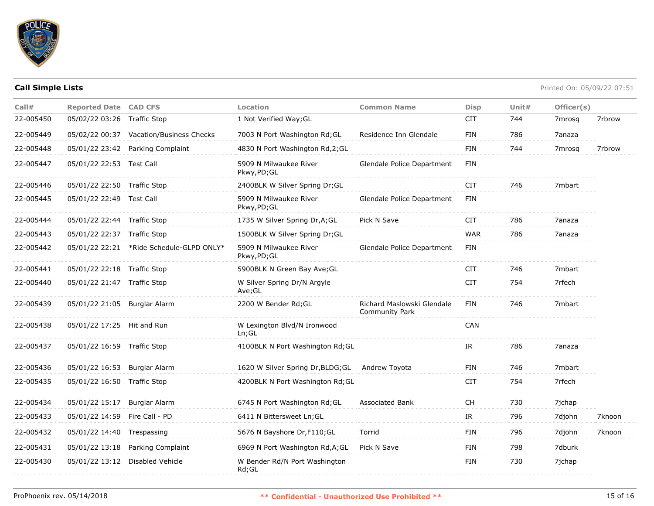

| Call#     | <b>Reported Date CAD CFS</b>  |                                          | <b>Location</b>                        | <b>Common Name</b>                                  | <b>Disp</b> | Unit $#$ | Officer(s) |        |
|-----------|-------------------------------|------------------------------------------|----------------------------------------|-----------------------------------------------------|-------------|----------|------------|--------|
| 22-005450 | 05/02/22 03:26 Traffic Stop   |                                          | 1 Not Verified Way; GL                 |                                                     | <b>CIT</b>  | 744      | 7mrosg     | 7rbrow |
| 22-005449 |                               | 05/02/22 00:37 Vacation/Business Checks  | 7003 N Port Washington Rd; GL          | Residence Inn Glendale                              | <b>FIN</b>  | 786      | 7anaza     |        |
| 22-005448 |                               | 05/01/22 23:42 Parking Complaint         | 4830 N Port Washington Rd, 2; GL       |                                                     | FIN         | 744      | 7mrosq     | 7rbrow |
| 22-005447 | 05/01/22 22:53 Test Call      |                                          | 5909 N Milwaukee River<br>Pkwy,PD;GL   | Glendale Police Department                          | <b>FIN</b>  |          |            |        |
| 22-005446 | 05/01/22 22:50 Traffic Stop   |                                          | 2400BLK W Silver Spring Dr; GL         |                                                     | <b>CIT</b>  | 746      | 7mbart     |        |
| 22-005445 | 05/01/22 22:49 Test Call      |                                          | 5909 N Milwaukee River<br>Pkwy,PD;GL   | Glendale Police Department                          | FIN         |          |            |        |
| 22-005444 | 05/01/22 22:44 Traffic Stop   |                                          | 1735 W Silver Spring Dr, A; GL         | Pick N Save                                         | CIT         | 786      | 7anaza     |        |
| 22-005443 | 05/01/22 22:37 Traffic Stop   |                                          | 1500BLK W Silver Spring Dr;GL          |                                                     | <b>WAR</b>  | 786      | 7anaza     |        |
| 22-005442 |                               | 05/01/22 22:21 *Ride Schedule-GLPD ONLY* | 5909 N Milwaukee River<br>Pkwy,PD;GL   | Glendale Police Department                          | FIN         |          |            |        |
| 22-005441 | 05/01/22 22:18 Traffic Stop   |                                          | 5900BLK N Green Bay Ave; GL            |                                                     | CIT         | 746      | 7mbart     |        |
| 22-005440 | 05/01/22 21:47 Traffic Stop   |                                          | W Silver Spring Dr/N Argyle<br>Ave;GL  |                                                     | <b>CIT</b>  | 754      | 7rfech     |        |
| 22-005439 | 05/01/22 21:05 Burglar Alarm  |                                          | 2200 W Bender Rd; GL                   | Richard Maslowski Glendale<br><b>Community Park</b> | <b>FIN</b>  | 746      | 7mbart     |        |
| 22-005438 | 05/01/22 17:25 Hit and Run    |                                          | W Lexington Blvd/N Ironwood<br>Ln; GL  |                                                     | CAN         |          |            |        |
| 22-005437 | 05/01/22 16:59 Traffic Stop   |                                          | 4100BLK N Port Washington Rd; GL       |                                                     | IR          | 786      | 7anaza     |        |
| 22-005436 | 05/01/22 16:53                | Burglar Alarm                            | 1620 W Silver Spring Dr, BLDG; GL      | Andrew Toyota                                       | FIN         | 746      | 7mbart     |        |
| 22-005435 | 05/01/22 16:50                | Traffic Stop                             | 4200BLK N Port Washington Rd; GL       |                                                     | CIT         | 754      | 7rfech     |        |
| 22-005434 | 05/01/22 15:17                | Burglar Alarm                            | 6745 N Port Washington Rd; GL          | <b>Associated Bank</b>                              | <b>CH</b>   | 730      | 7jchap     |        |
| 22-005433 | 05/01/22 14:59 Fire Call - PD |                                          | 6411 N Bittersweet Ln; GL              |                                                     | IR          | 796      | 7djohn     | 7knoon |
| 22-005432 | 05/01/22 14:40                | Trespassing                              | 5676 N Bayshore Dr, F110; GL           | Torrid                                              | FIN         | 796      | 7djohn     | 7knoon |
| 22-005431 | 05/01/22 13:18                | Parking Complaint                        | 6969 N Port Washington Rd, A; GL       | Pick N Save                                         | <b>FIN</b>  | 798      | 7dburk     |        |
| 22-005430 |                               | 05/01/22 13:12 Disabled Vehicle          | W Bender Rd/N Port Washington<br>Rd;GL |                                                     | <b>FIN</b>  | 730      | 7jchap     |        |
|           |                               |                                          |                                        |                                                     |             |          |            |        |